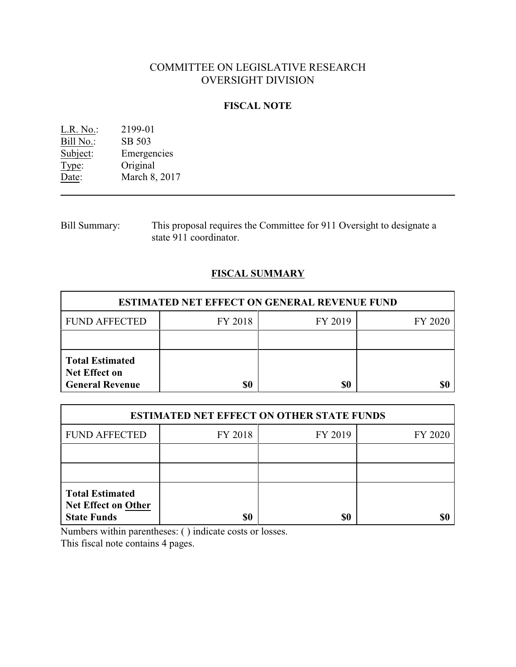# COMMITTEE ON LEGISLATIVE RESEARCH OVERSIGHT DIVISION

## **FISCAL NOTE**

L.R. No.: 2199-01<br>Bill No.: SB 503  $\frac{\text{Bill No.}}{\text{Subject:}}$ Emergencies Type: Original<br>Date: March 8, March 8, 2017

Bill Summary: This proposal requires the Committee for 911 Oversight to designate a state 911 coordinator.

## **FISCAL SUMMARY**

| <b>ESTIMATED NET EFFECT ON GENERAL REVENUE FUND</b>                      |         |         |         |  |
|--------------------------------------------------------------------------|---------|---------|---------|--|
| <b>FUND AFFECTED</b>                                                     | FY 2018 | FY 2019 | FY 2020 |  |
|                                                                          |         |         |         |  |
| <b>Total Estimated</b><br><b>Net Effect on</b><br><b>General Revenue</b> | \$0     | \$0     |         |  |

| <b>ESTIMATED NET EFFECT ON OTHER STATE FUNDS</b>                           |         |         |         |  |
|----------------------------------------------------------------------------|---------|---------|---------|--|
| <b>FUND AFFECTED</b>                                                       | FY 2018 | FY 2019 | FY 2020 |  |
|                                                                            |         |         |         |  |
|                                                                            |         |         |         |  |
| <b>Total Estimated</b><br><b>Net Effect on Other</b><br><b>State Funds</b> | \$0     | \$0     |         |  |

Numbers within parentheses: ( ) indicate costs or losses.

This fiscal note contains 4 pages.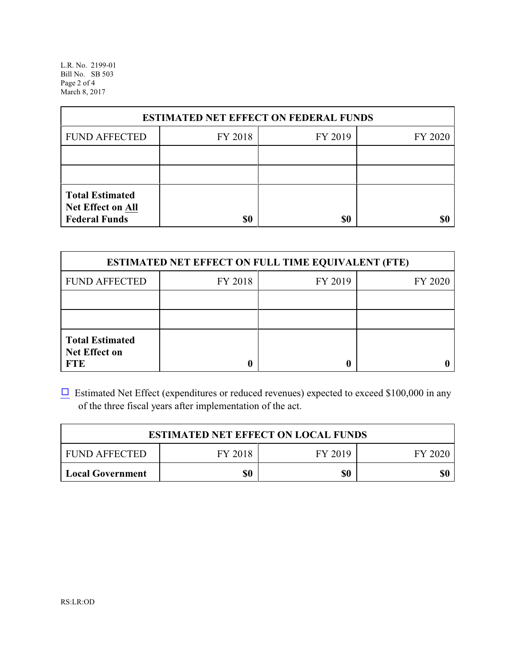L.R. No. 2199-01 Bill No. SB 503 Page 2 of 4 March 8, 2017

| <b>ESTIMATED NET EFFECT ON FEDERAL FUNDS</b>                        |         |         |         |  |
|---------------------------------------------------------------------|---------|---------|---------|--|
| <b>FUND AFFECTED</b>                                                | FY 2018 | FY 2019 | FY 2020 |  |
|                                                                     |         |         |         |  |
|                                                                     |         |         |         |  |
| <b>Total Estimated</b><br>Net Effect on All<br><b>Federal Funds</b> | \$0     | \$0     |         |  |

| <b>ESTIMATED NET EFFECT ON FULL TIME EQUIVALENT (FTE)</b>    |         |         |         |  |
|--------------------------------------------------------------|---------|---------|---------|--|
| <b>FUND AFFECTED</b>                                         | FY 2018 | FY 2019 | FY 2020 |  |
|                                                              |         |         |         |  |
|                                                              |         |         |         |  |
| <b>Total Estimated</b><br><b>Net Effect on</b><br><b>FTE</b> |         |         |         |  |

 $\Box$  Estimated Net Effect (expenditures or reduced revenues) expected to exceed \$100,000 in any of the three fiscal years after implementation of the act.

| <b>ESTIMATED NET EFFECT ON LOCAL FUNDS</b> |         |         |         |  |
|--------------------------------------------|---------|---------|---------|--|
| <b>FUND AFFECTED</b>                       | FY 2018 | FY 2019 | FY 2020 |  |
| <b>Local Government</b>                    | \$0     | \$0     | \$0     |  |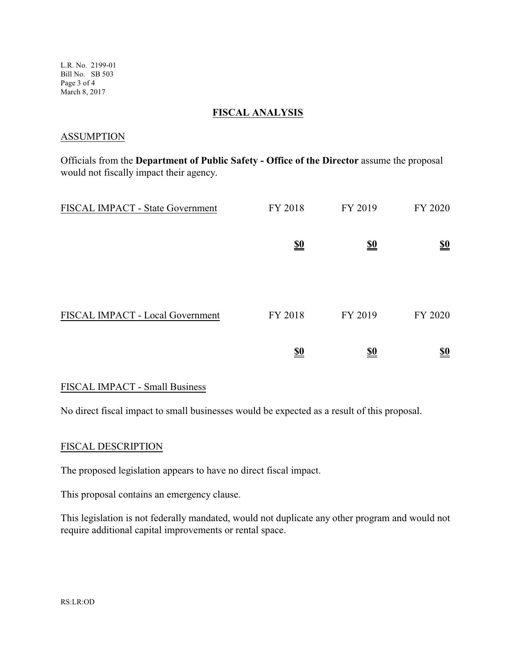L.R. No. 2199-01 Bill No. SB 503 Page 3 of 4 March 8, 2017

#### **FISCAL ANALYSIS**

#### **ASSUMPTION**

Officials from the **Department of Public Safety - Office of the Director** assume the proposal would not fiscally impact their agency.

| FISCAL IMPACT - State Government | FY 2018                       | FY 2019                       | FY 2020                       |
|----------------------------------|-------------------------------|-------------------------------|-------------------------------|
|                                  | $\underline{\underline{\$0}}$ | $\underline{\underline{\$0}}$ | $\underline{\underline{\$0}}$ |
|                                  |                               |                               |                               |
| FISCAL IMPACT - Local Government | FY 2018                       | FY 2019                       | FY 2020                       |
|                                  | <u>\$0</u>                    | <u>\$0</u>                    | <u>\$0</u>                    |

## FISCAL IMPACT - Small Business

No direct fiscal impact to small businesses would be expected as a result of this proposal.

## FISCAL DESCRIPTION

The proposed legislation appears to have no direct fiscal impact.

This proposal contains an emergency clause.

This legislation is not federally mandated, would not duplicate any other program and would not require additional capital improvements or rental space.